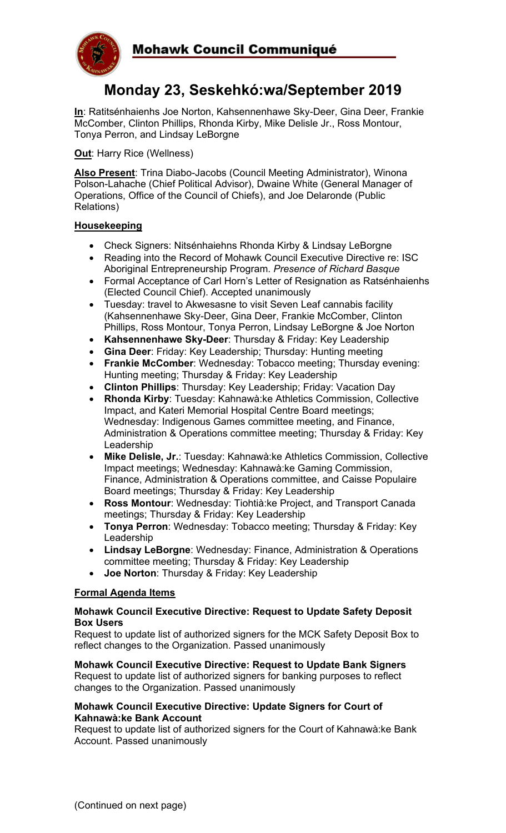

# **Monday 23, Seskehkó:wa/September 2019**

**In**: Ratitsénhaienhs Joe Norton, Kahsennenhawe Sky-Deer, Gina Deer, Frankie McComber, Clinton Phillips, Rhonda Kirby, Mike Delisle Jr., Ross Montour, Tonya Perron, and Lindsay LeBorgne

**Out**: Harry Rice (Wellness)

**Also Present**: Trina Diabo-Jacobs (Council Meeting Administrator), Winona Polson-Lahache (Chief Political Advisor), Dwaine White (General Manager of Operations, Office of the Council of Chiefs), and Joe Delaronde (Public Relations)

## **Housekeeping**

- Check Signers: Nitsénhaiehns Rhonda Kirby & Lindsay LeBorgne
- Reading into the Record of Mohawk Council Executive Directive re: ISC Aboriginal Entrepreneurship Program. *Presence of Richard Basque*
- Formal Acceptance of Carl Horn's Letter of Resignation as Ratsénhaienhs (Elected Council Chief). Accepted unanimously
- Tuesday: travel to Akwesasne to visit Seven Leaf cannabis facility (Kahsennenhawe Sky-Deer, Gina Deer, Frankie McComber, Clinton Phillips, Ross Montour, Tonya Perron, Lindsay LeBorgne & Joe Norton
- **Kahsennenhawe Sky-Deer**: Thursday & Friday: Key Leadership
- **Gina Deer**: Friday: Key Leadership; Thursday: Hunting meeting
- **Frankie McComber**: Wednesday: Tobacco meeting; Thursday evening: Hunting meeting; Thursday & Friday: Key Leadership
- **Clinton Phillips**: Thursday: Key Leadership; Friday: Vacation Day
- **Rhonda Kirby**: Tuesday: Kahnawà:ke Athletics Commission, Collective Impact, and Kateri Memorial Hospital Centre Board meetings; Wednesday: Indigenous Games committee meeting, and Finance, Administration & Operations committee meeting; Thursday & Friday: Key Leadership
- **Mike Delisle, Jr.**: Tuesday: Kahnawà:ke Athletics Commission, Collective Impact meetings; Wednesday: Kahnawà:ke Gaming Commission, Finance, Administration & Operations committee, and Caisse Populaire Board meetings; Thursday & Friday: Key Leadership
- **Ross Montour**: Wednesday: Tiohtià:ke Project, and Transport Canada meetings; Thursday & Friday: Key Leadership
- **Tonya Perron**: Wednesday: Tobacco meeting; Thursday & Friday: Key Leadership
- **Lindsay LeBorgne**: Wednesday: Finance, Administration & Operations committee meeting; Thursday & Friday: Key Leadership
- **Joe Norton**: Thursday & Friday: Key Leadership

## **Formal Agenda Items**

#### **Mohawk Council Executive Directive: Request to Update Safety Deposit Box Users**

Request to update list of authorized signers for the MCK Safety Deposit Box to reflect changes to the Organization. Passed unanimously

**Mohawk Council Executive Directive: Request to Update Bank Signers** Request to update list of authorized signers for banking purposes to reflect changes to the Organization. Passed unanimously

#### **Mohawk Council Executive Directive: Update Signers for Court of Kahnawà:ke Bank Account**

Request to update list of authorized signers for the Court of Kahnawà:ke Bank Account. Passed unanimously